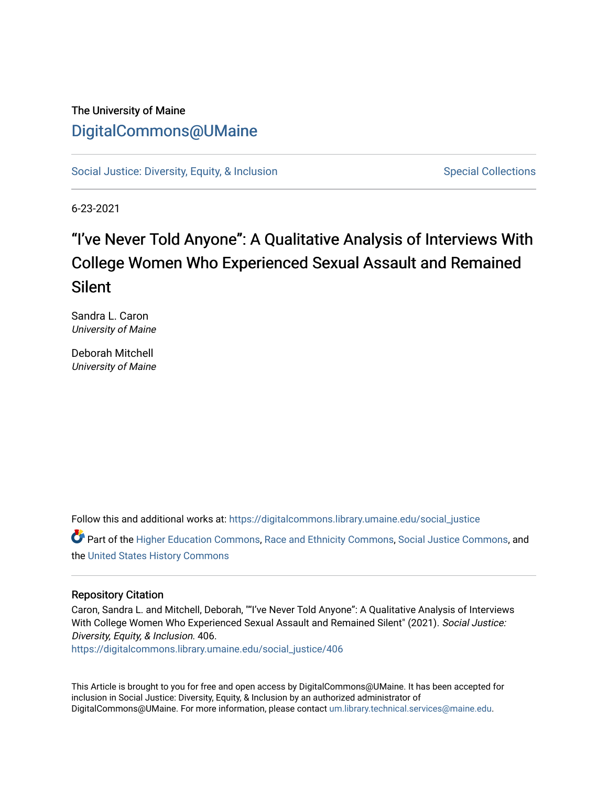# The University of Maine [DigitalCommons@UMaine](https://digitalcommons.library.umaine.edu/)

[Social Justice: Diversity, Equity, & Inclusion](https://digitalcommons.library.umaine.edu/social_justice) [Special Collections](https://digitalcommons.library.umaine.edu/specialcollections) Special Collections

6-23-2021

# "I've Never Told Anyone": A Qualitative Analysis of Interviews With College Women Who Experienced Sexual Assault and Remained Silent

Sandra L. Caron University of Maine

Deborah Mitchell University of Maine

Follow this and additional works at: [https://digitalcommons.library.umaine.edu/social\\_justice](https://digitalcommons.library.umaine.edu/social_justice?utm_source=digitalcommons.library.umaine.edu%2Fsocial_justice%2F406&utm_medium=PDF&utm_campaign=PDFCoverPages) 

Part of the [Higher Education Commons,](http://network.bepress.com/hgg/discipline/1245?utm_source=digitalcommons.library.umaine.edu%2Fsocial_justice%2F406&utm_medium=PDF&utm_campaign=PDFCoverPages) [Race and Ethnicity Commons,](http://network.bepress.com/hgg/discipline/426?utm_source=digitalcommons.library.umaine.edu%2Fsocial_justice%2F406&utm_medium=PDF&utm_campaign=PDFCoverPages) [Social Justice Commons,](http://network.bepress.com/hgg/discipline/1432?utm_source=digitalcommons.library.umaine.edu%2Fsocial_justice%2F406&utm_medium=PDF&utm_campaign=PDFCoverPages) and the [United States History Commons](http://network.bepress.com/hgg/discipline/495?utm_source=digitalcommons.library.umaine.edu%2Fsocial_justice%2F406&utm_medium=PDF&utm_campaign=PDFCoverPages) 

## Repository Citation

Caron, Sandra L. and Mitchell, Deborah, ""I've Never Told Anyone": A Qualitative Analysis of Interviews With College Women Who Experienced Sexual Assault and Remained Silent" (2021). Social Justice: Diversity, Equity, & Inclusion. 406.

[https://digitalcommons.library.umaine.edu/social\\_justice/406](https://digitalcommons.library.umaine.edu/social_justice/406?utm_source=digitalcommons.library.umaine.edu%2Fsocial_justice%2F406&utm_medium=PDF&utm_campaign=PDFCoverPages) 

This Article is brought to you for free and open access by DigitalCommons@UMaine. It has been accepted for inclusion in Social Justice: Diversity, Equity, & Inclusion by an authorized administrator of DigitalCommons@UMaine. For more information, please contact [um.library.technical.services@maine.edu](mailto:um.library.technical.services@maine.edu).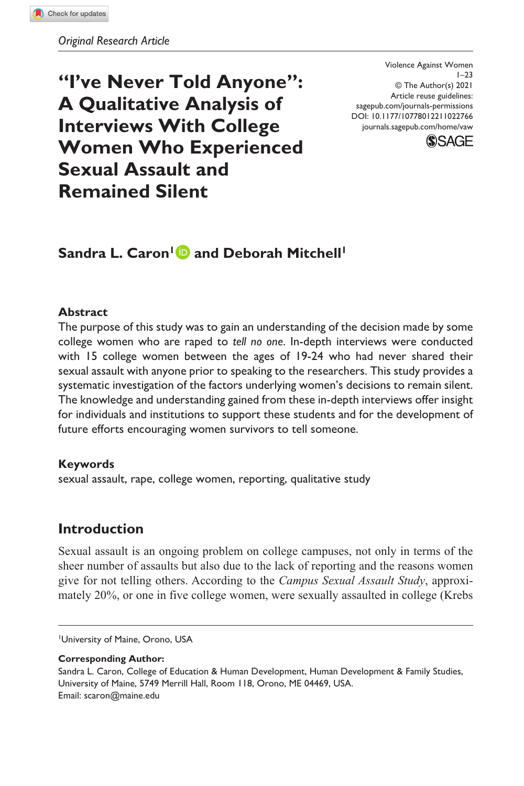**"I've Never Told Anyone": A Qualitative Analysis of Interviews With College Women Who Experienced Sexual Assault and Remained Silent**

DOI: 10.1177/10778012211022766 Violence Against Women  $1 - 23$ © The Author(s) 2021 Article reuse guidelines: [sagepub.com/journals-permissions](https://us.sagepub.com/en-us/journals-permissions) [journals.sagepub.com/home/vaw](https://journals.sagepub.com/home/vaw)



# **Sandra L. Caron<sup>1</sup> and Deborah Mitchell<sup>1</sup>**

#### **Abstract**

The purpose of this study was to gain an understanding of the decision made by some college women who are raped to *tell no one*. In-depth interviews were conducted with 15 college women between the ages of 19-24 who had never shared their sexual assault with anyone prior to speaking to the researchers. This study provides a systematic investigation of the factors underlying women's decisions to remain silent. The knowledge and understanding gained from these in-depth interviews offer insight for individuals and institutions to support these students and for the development of future efforts encouraging women survivors to tell someone.

#### **Keywords**

sexual assault, rape, college women, reporting, qualitative study

## **Introduction**

Sexual assault is an ongoing problem on college campuses, not only in terms of the sheer number of assaults but also due to the lack of reporting and the reasons women give for not telling others. According to the *Campus Sexual Assault Study*, approximately 20%, or one in five college women, were sexually assaulted in college (Krebs

**Corresponding Author:**

<sup>1</sup> University of Maine, Orono, USA

Sandra L. Caron, College of Education & Human Development, Human Development & Family Studies, University of Maine, 5749 Merrill Hall, Room 118, Orono, ME 04469, USA. Email: [scaron@maine.edu](mailto:scaron@maine.edu)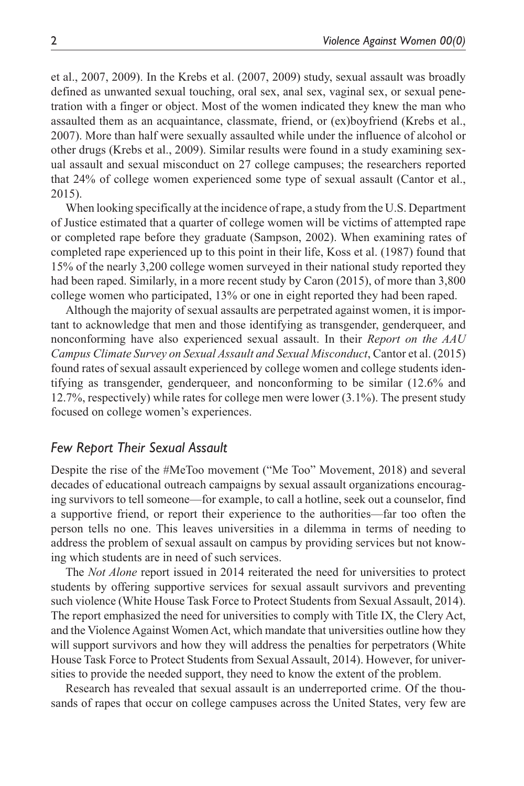et al., 2007, 2009). In the Krebs et al. (2007, 2009) study, sexual assault was broadly defined as unwanted sexual touching, oral sex, anal sex, vaginal sex, or sexual penetration with a finger or object. Most of the women indicated they knew the man who assaulted them as an acquaintance, classmate, friend, or (ex)boyfriend (Krebs et al., 2007). More than half were sexually assaulted while under the influence of alcohol or other drugs (Krebs et al., 2009). Similar results were found in a study examining sexual assault and sexual misconduct on 27 college campuses; the researchers reported that 24% of college women experienced some type of sexual assault (Cantor et al., 2015).

When looking specifically at the incidence of rape, a study from the U.S. Department of Justice estimated that a quarter of college women will be victims of attempted rape or completed rape before they graduate (Sampson, 2002). When examining rates of completed rape experienced up to this point in their life, Koss et al. (1987) found that 15% of the nearly 3,200 college women surveyed in their national study reported they had been raped. Similarly, in a more recent study by Caron (2015), of more than 3,800 college women who participated, 13% or one in eight reported they had been raped.

Although the majority of sexual assaults are perpetrated against women, it is important to acknowledge that men and those identifying as transgender, genderqueer, and nonconforming have also experienced sexual assault. In their *Report on the AAU Campus Climate Survey on Sexual Assault and Sexual Misconduct*, Cantor et al. (2015) found rates of sexual assault experienced by college women and college students identifying as transgender, genderqueer, and nonconforming to be similar (12.6% and 12.7%, respectively) while rates for college men were lower (3.1%). The present study focused on college women's experiences.

#### *Few Report Their Sexual Assault*

Despite the rise of the #MeToo movement ("Me Too" Movement, 2018) and several decades of educational outreach campaigns by sexual assault organizations encouraging survivors to tell someone—for example, to call a hotline, seek out a counselor, find a supportive friend, or report their experience to the authorities—far too often the person tells no one. This leaves universities in a dilemma in terms of needing to address the problem of sexual assault on campus by providing services but not knowing which students are in need of such services.

The *Not Alone* report issued in 2014 reiterated the need for universities to protect students by offering supportive services for sexual assault survivors and preventing such violence (White House Task Force to Protect Students from Sexual Assault, 2014). The report emphasized the need for universities to comply with Title IX, the Clery Act, and the Violence Against Women Act, which mandate that universities outline how they will support survivors and how they will address the penalties for perpetrators (White House Task Force to Protect Students from Sexual Assault, 2014). However, for universities to provide the needed support, they need to know the extent of the problem.

Research has revealed that sexual assault is an underreported crime. Of the thousands of rapes that occur on college campuses across the United States, very few are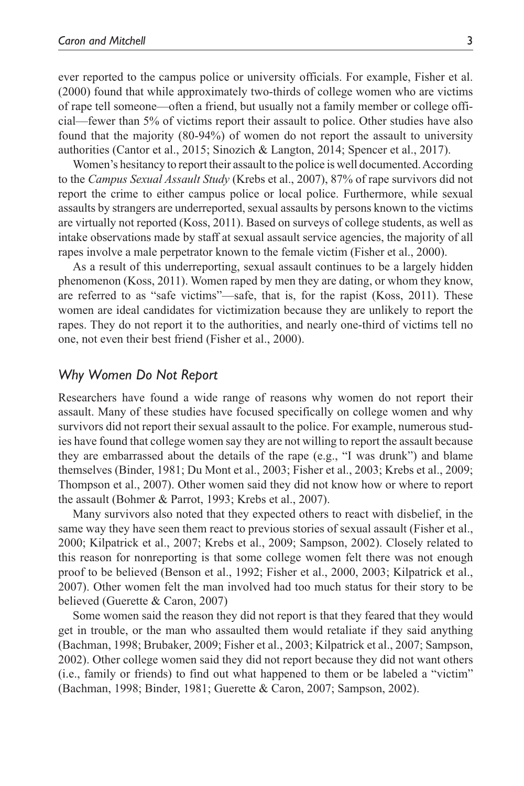ever reported to the campus police or university officials. For example, Fisher et al. (2000) found that while approximately two-thirds of college women who are victims of rape tell someone—often a friend, but usually not a family member or college official—fewer than 5% of victims report their assault to police. Other studies have also found that the majority (80-94%) of women do not report the assault to university authorities (Cantor et al., 2015; Sinozich & Langton, 2014; Spencer et al., 2017).

Women's hesitancy to report their assault to the police is well documented. According to the *Campus Sexual Assault Study* (Krebs et al., 2007), 87% of rape survivors did not report the crime to either campus police or local police. Furthermore, while sexual assaults by strangers are underreported, sexual assaults by persons known to the victims are virtually not reported (Koss, 2011). Based on surveys of college students, as well as intake observations made by staff at sexual assault service agencies, the majority of all rapes involve a male perpetrator known to the female victim (Fisher et al., 2000).

As a result of this underreporting, sexual assault continues to be a largely hidden phenomenon (Koss, 2011). Women raped by men they are dating, or whom they know, are referred to as "safe victims"—safe, that is, for the rapist (Koss, 2011). These women are ideal candidates for victimization because they are unlikely to report the rapes. They do not report it to the authorities, and nearly one-third of victims tell no one, not even their best friend (Fisher et al., 2000).

#### *Why Women Do Not Report*

Researchers have found a wide range of reasons why women do not report their assault. Many of these studies have focused specifically on college women and why survivors did not report their sexual assault to the police. For example, numerous studies have found that college women say they are not willing to report the assault because they are embarrassed about the details of the rape (e.g., "I was drunk") and blame themselves (Binder, 1981; Du Mont et al., 2003; Fisher et al., 2003; Krebs et al., 2009; Thompson et al., 2007). Other women said they did not know how or where to report the assault (Bohmer & Parrot, 1993; Krebs et al., 2007).

Many survivors also noted that they expected others to react with disbelief, in the same way they have seen them react to previous stories of sexual assault (Fisher et al., 2000; Kilpatrick et al., 2007; Krebs et al., 2009; Sampson, 2002). Closely related to this reason for nonreporting is that some college women felt there was not enough proof to be believed (Benson et al., 1992; Fisher et al., 2000, 2003; Kilpatrick et al., 2007). Other women felt the man involved had too much status for their story to be believed (Guerette & Caron, 2007)

Some women said the reason they did not report is that they feared that they would get in trouble, or the man who assaulted them would retaliate if they said anything (Bachman, 1998; Brubaker, 2009; Fisher et al., 2003; Kilpatrick et al., 2007; Sampson, 2002). Other college women said they did not report because they did not want others (i.e., family or friends) to find out what happened to them or be labeled a "victim" (Bachman, 1998; Binder, 1981; Guerette & Caron, 2007; Sampson, 2002).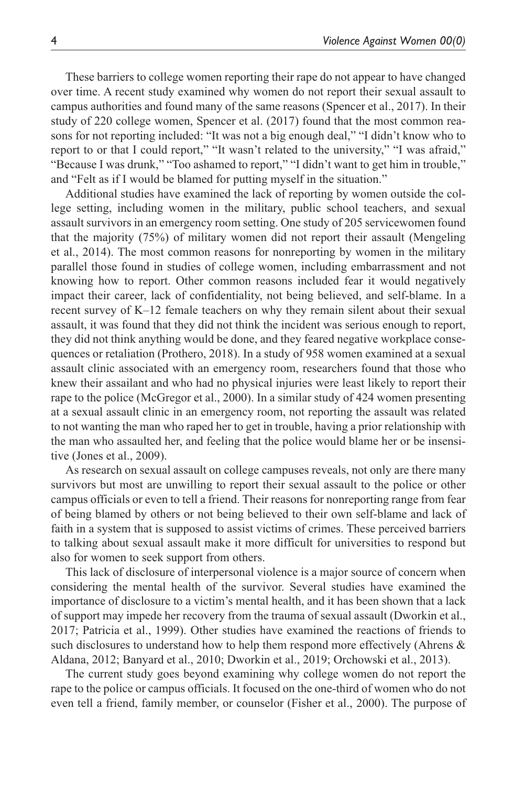These barriers to college women reporting their rape do not appear to have changed over time. A recent study examined why women do not report their sexual assault to campus authorities and found many of the same reasons (Spencer et al., 2017). In their study of 220 college women, Spencer et al. (2017) found that the most common reasons for not reporting included: "It was not a big enough deal," "I didn't know who to report to or that I could report," "It wasn't related to the university," "I was afraid," "Because I was drunk," "Too ashamed to report," "I didn't want to get him in trouble," and "Felt as if I would be blamed for putting myself in the situation."

Additional studies have examined the lack of reporting by women outside the college setting, including women in the military, public school teachers, and sexual assault survivors in an emergency room setting. One study of 205 servicewomen found that the majority (75%) of military women did not report their assault (Mengeling et al., 2014). The most common reasons for nonreporting by women in the military parallel those found in studies of college women, including embarrassment and not knowing how to report. Other common reasons included fear it would negatively impact their career, lack of confidentiality, not being believed, and self-blame. In a recent survey of K–12 female teachers on why they remain silent about their sexual assault, it was found that they did not think the incident was serious enough to report, they did not think anything would be done, and they feared negative workplace consequences or retaliation (Prothero, 2018). In a study of 958 women examined at a sexual assault clinic associated with an emergency room, researchers found that those who knew their assailant and who had no physical injuries were least likely to report their rape to the police (McGregor et al., 2000). In a similar study of 424 women presenting at a sexual assault clinic in an emergency room, not reporting the assault was related to not wanting the man who raped her to get in trouble, having a prior relationship with the man who assaulted her, and feeling that the police would blame her or be insensitive (Jones et al., 2009).

As research on sexual assault on college campuses reveals, not only are there many survivors but most are unwilling to report their sexual assault to the police or other campus officials or even to tell a friend. Their reasons for nonreporting range from fear of being blamed by others or not being believed to their own self-blame and lack of faith in a system that is supposed to assist victims of crimes. These perceived barriers to talking about sexual assault make it more difficult for universities to respond but also for women to seek support from others.

This lack of disclosure of interpersonal violence is a major source of concern when considering the mental health of the survivor. Several studies have examined the importance of disclosure to a victim's mental health, and it has been shown that a lack of support may impede her recovery from the trauma of sexual assault (Dworkin et al., 2017; Patricia et al., 1999). Other studies have examined the reactions of friends to such disclosures to understand how to help them respond more effectively (Ahrens & Aldana, 2012; Banyard et al., 2010; Dworkin et al., 2019; Orchowski et al., 2013).

The current study goes beyond examining why college women do not report the rape to the police or campus officials. It focused on the one-third of women who do not even tell a friend, family member, or counselor (Fisher et al., 2000). The purpose of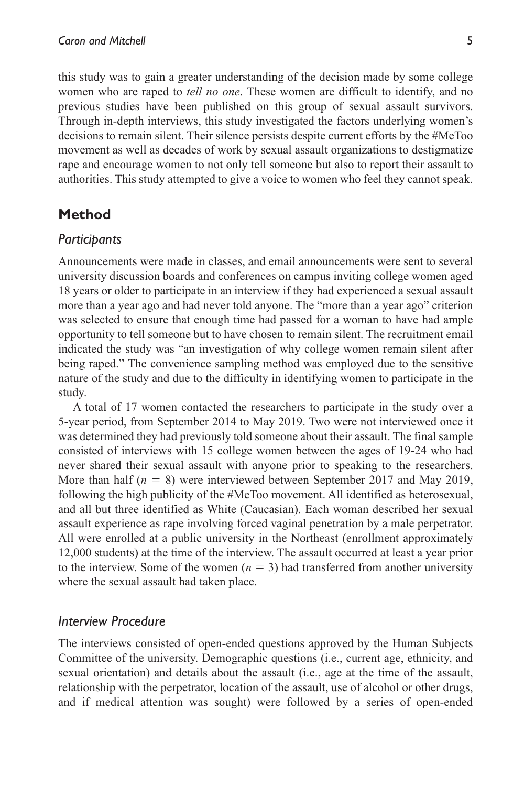this study was to gain a greater understanding of the decision made by some college women who are raped to *tell no one*. These women are difficult to identify, and no previous studies have been published on this group of sexual assault survivors. Through in-depth interviews, this study investigated the factors underlying women's decisions to remain silent. Their silence persists despite current efforts by the #MeToo movement as well as decades of work by sexual assault organizations to destigmatize rape and encourage women to not only tell someone but also to report their assault to authorities. This study attempted to give a voice to women who feel they cannot speak.

# **Method**

#### *Participants*

Announcements were made in classes, and email announcements were sent to several university discussion boards and conferences on campus inviting college women aged 18 years or older to participate in an interview if they had experienced a sexual assault more than a year ago and had never told anyone. The "more than a year ago" criterion was selected to ensure that enough time had passed for a woman to have had ample opportunity to tell someone but to have chosen to remain silent. The recruitment email indicated the study was "an investigation of why college women remain silent after being raped." The convenience sampling method was employed due to the sensitive nature of the study and due to the difficulty in identifying women to participate in the study.

A total of 17 women contacted the researchers to participate in the study over a 5-year period, from September 2014 to May 2019. Two were not interviewed once it was determined they had previously told someone about their assault. The final sample consisted of interviews with 15 college women between the ages of 19-24 who had never shared their sexual assault with anyone prior to speaking to the researchers. More than half (*n* = 8) were interviewed between September 2017 and May 2019, following the high publicity of the #MeToo movement. All identified as heterosexual, and all but three identified as White (Caucasian). Each woman described her sexual assault experience as rape involving forced vaginal penetration by a male perpetrator. All were enrolled at a public university in the Northeast (enrollment approximately 12,000 students) at the time of the interview. The assault occurred at least a year prior to the interview. Some of the women  $(n = 3)$  had transferred from another university where the sexual assault had taken place.

#### *Interview Procedure*

The interviews consisted of open-ended questions approved by the Human Subjects Committee of the university. Demographic questions (i.e., current age, ethnicity, and sexual orientation) and details about the assault (i.e., age at the time of the assault, relationship with the perpetrator, location of the assault, use of alcohol or other drugs, and if medical attention was sought) were followed by a series of open-ended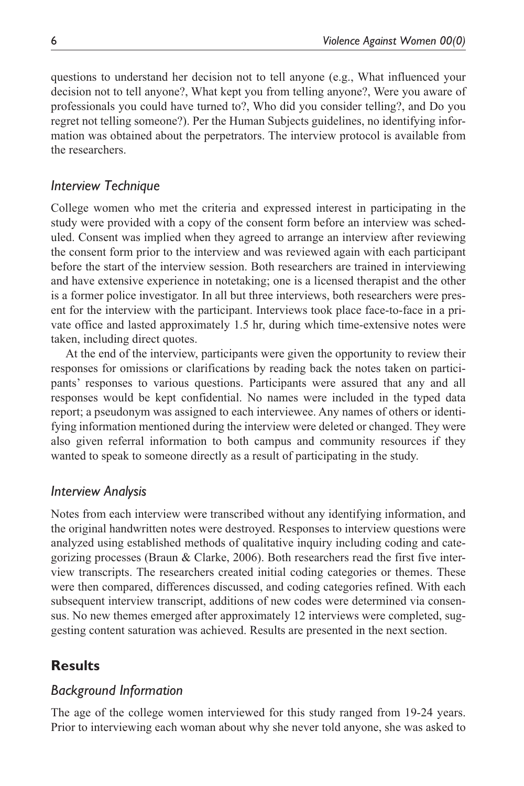questions to understand her decision not to tell anyone (e.g., What influenced your decision not to tell anyone?, What kept you from telling anyone?, Were you aware of professionals you could have turned to?, Who did you consider telling?, and Do you regret not telling someone?). Per the Human Subjects guidelines, no identifying information was obtained about the perpetrators. The interview protocol is available from the researchers.

# *Interview Technique*

College women who met the criteria and expressed interest in participating in the study were provided with a copy of the consent form before an interview was scheduled. Consent was implied when they agreed to arrange an interview after reviewing the consent form prior to the interview and was reviewed again with each participant before the start of the interview session. Both researchers are trained in interviewing and have extensive experience in notetaking; one is a licensed therapist and the other is a former police investigator. In all but three interviews, both researchers were present for the interview with the participant. Interviews took place face-to-face in a private office and lasted approximately 1.5 hr, during which time-extensive notes were taken, including direct quotes.

At the end of the interview, participants were given the opportunity to review their responses for omissions or clarifications by reading back the notes taken on participants' responses to various questions. Participants were assured that any and all responses would be kept confidential. No names were included in the typed data report; a pseudonym was assigned to each interviewee. Any names of others or identifying information mentioned during the interview were deleted or changed. They were also given referral information to both campus and community resources if they wanted to speak to someone directly as a result of participating in the study.

# *Interview Analysis*

Notes from each interview were transcribed without any identifying information, and the original handwritten notes were destroyed. Responses to interview questions were analyzed using established methods of qualitative inquiry including coding and categorizing processes (Braun & Clarke, 2006). Both researchers read the first five interview transcripts. The researchers created initial coding categories or themes. These were then compared, differences discussed, and coding categories refined. With each subsequent interview transcript, additions of new codes were determined via consensus. No new themes emerged after approximately 12 interviews were completed, suggesting content saturation was achieved. Results are presented in the next section.

# **Results**

# *Background Information*

The age of the college women interviewed for this study ranged from 19-24 years. Prior to interviewing each woman about why she never told anyone, she was asked to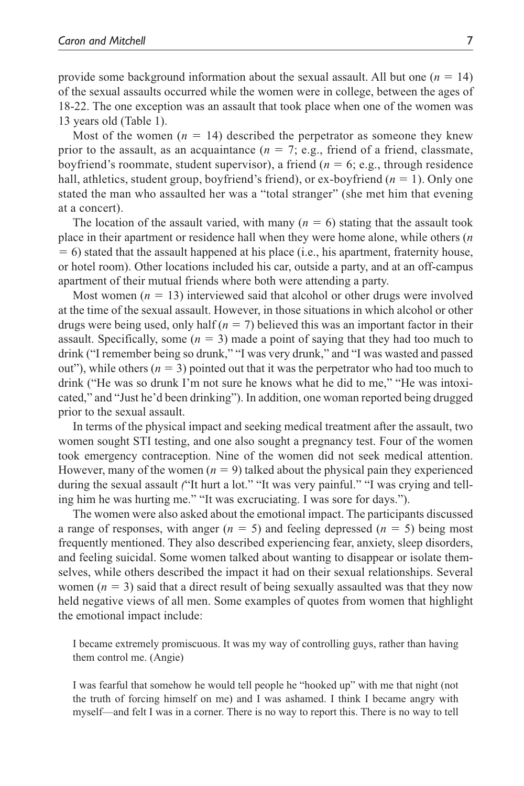provide some background information about the sexual assault. All but one  $(n = 14)$ of the sexual assaults occurred while the women were in college, between the ages of 18-22. The one exception was an assault that took place when one of the women was 13 years old (Table 1).

Most of the women  $(n = 14)$  described the perpetrator as someone they knew prior to the assault, as an acquaintance  $(n = 7, e.g.,$  friend of a friend, classmate, boyfriend's roommate, student supervisor), a friend (*n* = 6; e.g., through residence hall, athletics, student group, boyfriend's friend), or ex-boyfriend (*n* = 1). Only one stated the man who assaulted her was a "total stranger" (she met him that evening at a concert).

The location of the assault varied, with many  $(n = 6)$  stating that the assault took place in their apartment or residence hall when they were home alone, while others (*n*  $= 6$ ) stated that the assault happened at his place (i.e., his apartment, fraternity house, or hotel room). Other locations included his car, outside a party, and at an off-campus apartment of their mutual friends where both were attending a party.

Most women  $(n = 13)$  interviewed said that alcohol or other drugs were involved at the time of the sexual assault. However, in those situations in which alcohol or other drugs were being used, only half (*n* = 7) believed this was an important factor in their assault. Specifically, some  $(n = 3)$  made a point of saying that they had too much to drink ("I remember being so drunk," "I was very drunk," and "I was wasted and passed out"), while others  $(n = 3)$  pointed out that it was the perpetrator who had too much to drink ("He was so drunk I'm not sure he knows what he did to me," "He was intoxicated," and "Just he'd been drinking"). In addition, one woman reported being drugged prior to the sexual assault.

In terms of the physical impact and seeking medical treatment after the assault, two women sought STI testing, and one also sought a pregnancy test. Four of the women took emergency contraception. Nine of the women did not seek medical attention. However, many of the women  $(n = 9)$  talked about the physical pain they experienced during the sexual assault *(*"It hurt a lot." "It was very painful." "I was crying and telling him he was hurting me." "It was excruciating. I was sore for days.").

The women were also asked about the emotional impact. The participants discussed a range of responses, with anger  $(n = 5)$  and feeling depressed  $(n = 5)$  being most frequently mentioned. They also described experiencing fear, anxiety, sleep disorders, and feeling suicidal. Some women talked about wanting to disappear or isolate themselves, while others described the impact it had on their sexual relationships. Several women  $(n = 3)$  said that a direct result of being sexually assaulted was that they now held negative views of all men. Some examples of quotes from women that highlight the emotional impact include:

I became extremely promiscuous. It was my way of controlling guys, rather than having them control me. (Angie)

I was fearful that somehow he would tell people he "hooked up" with me that night (not the truth of forcing himself on me) and I was ashamed. I think I became angry with myself—and felt I was in a corner. There is no way to report this. There is no way to tell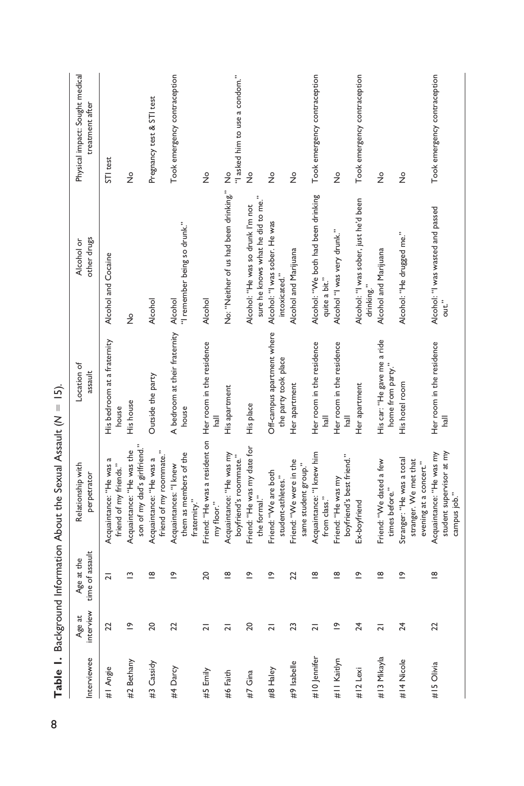| Interviewee  | interview<br>Age at | time of assault<br>Age at the | Relationship with<br>perpetrator                                             | Location of<br>assault                             | other drugs<br>Alcohol or                                              | Physical impact: Sought medical<br>treatment after |
|--------------|---------------------|-------------------------------|------------------------------------------------------------------------------|----------------------------------------------------|------------------------------------------------------------------------|----------------------------------------------------|
| #I Angie     | 22                  | $\overline{a}$                | Acquaintance: "He was a<br>friend of my friends."                            | His bedroom at a fraternity<br>house               | Alcohol and Cocaine                                                    | STI test                                           |
| #2 Bethany   | $\tilde{=}$         | $\tilde{ }$                   | son of my dad's girlfriend."<br>Acquaintance: "He was the                    | His house                                          | $\frac{1}{2}$                                                          | $\frac{1}{2}$                                      |
| #3 Cassidy   | 20                  | $\frac{\infty}{2}$            | friend of my roommate."<br>Acquaintance: "He was a                           | Outside the party                                  | Alcohol                                                                | Pregnancy test & STI test                          |
| #4 Darcy     | 22                  | 으                             | them as members of the<br>Acquaintances: "I knew<br>raternity."              | A bedroom at their fraternity Alcohol<br>house     | "I remember being so drunk."                                           | Took emergency contraception                       |
| #5 Emily     | $\overline{a}$      | 20                            | Friend: "He was a resident on<br>my floor."                                  | Her room in the residence                          | Alcohol                                                                | $\frac{1}{2}$                                      |
| #6 Faith     | $\overline{2}$      | $\overline{8}$                | Acquaintance: "He was my<br>boyfriend's roommate."                           | His apartment                                      | No: "Neither of us had been drinking."                                 | "I asked him to use a condom."<br>$\frac{1}{2}$    |
| #7 Gina      | 20                  | °_                            | Friend: "He was my date for<br>the formal."                                  | His place                                          | sure he knows what he did to me."<br>Alcohol: "He was so drunk I'm not | $\frac{1}{2}$                                      |
| #8 Haley     | $\overline{a}$      | 으                             | Friend: "We are both<br>student-athletes.'                                   | Off-campus apartment where<br>the party took place | Alcohol: "I was sober. He was<br>intoxicated."                         | $\frac{1}{2}$                                      |
| #9 Isabelle  | 23                  | 22                            | Friend: "We were in the<br>same student group.                               | Her apartment                                      | Alcohol and Marijuana                                                  | $\frac{1}{2}$                                      |
| #10 Jennifer | $\overline{2}$      | $\frac{\infty}{\infty}$       | Acquaintance: "I knew him<br>from class."                                    | Her room in the residence<br>hall                  | Alcohol: "We both had been drinking<br>quite a bit."                   | Took emergency contraception                       |
| #11 Kaitlyn  | $\tilde{=}$         | $\frac{\infty}{\infty}$       | boyfriend's best friend."<br>Friend: "He was my                              | Her room in the residence<br>llsh                  | Alcohol "I was very drunk."                                            | $\frac{1}{2}$                                      |
| #12 Lexi     | 24                  | $\tilde{=}$                   | Ex-boyfriend                                                                 | Her apartment                                      | Alcohol: "I was sober, just he'd been<br>drinking."                    | Took emergency contraception                       |
| #13 Mikayla  | $\overline{a}$      | $\frac{\infty}{\infty}$       | Friend: "We dated a few<br>times before."                                    | His car: "He gave me a ride<br>home from party."   | Alcohol and Marijuana                                                  | $\frac{1}{2}$                                      |
| #14 Nicole   | 24                  | $\tilde{=}$                   | Stranger: "He was a total<br>stranger. We met that<br>evening at a concert." | His hotel room                                     | Alcohol: "He drugged me."                                              | $\frac{1}{2}$                                      |
| #15 Olivia   | 22                  | $\frac{\infty}{\infty}$       | Acquaintance: "He was my<br>student supervisor at my<br>campus job."         | Her room in the residence<br>$\frac{1}{2}$         | Alcohol: "I was wasted and passed<br>out."                             | Took emergency contraception                       |

Table 1. Background Information About the Sexual Assault (N = 15). 8 **Table 1.** Background Information About the Sexual Assault (*N* = 15).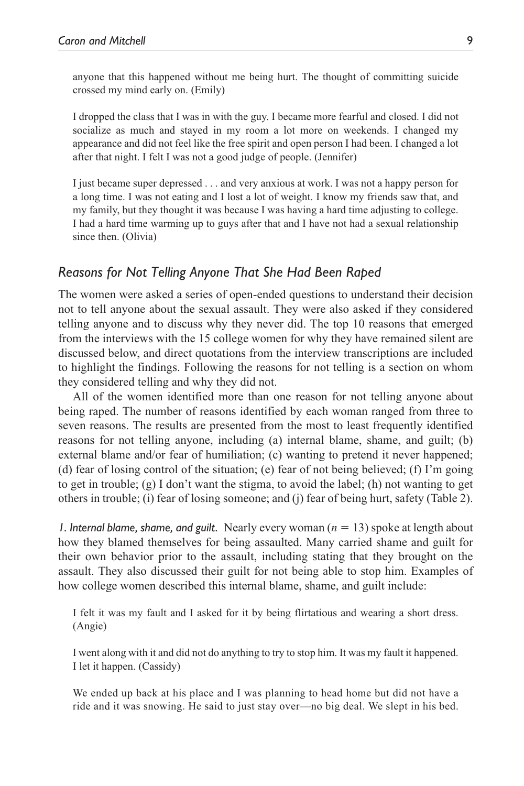anyone that this happened without me being hurt. The thought of committing suicide crossed my mind early on. (Emily)

I dropped the class that I was in with the guy. I became more fearful and closed. I did not socialize as much and stayed in my room a lot more on weekends. I changed my appearance and did not feel like the free spirit and open person I had been. I changed a lot after that night. I felt I was not a good judge of people. (Jennifer)

I just became super depressed . . . and very anxious at work. I was not a happy person for a long time. I was not eating and I lost a lot of weight. I know my friends saw that, and my family, but they thought it was because I was having a hard time adjusting to college. I had a hard time warming up to guys after that and I have not had a sexual relationship since then. (Olivia)

#### *Reasons for Not Telling Anyone That She Had Been Raped*

The women were asked a series of open-ended questions to understand their decision not to tell anyone about the sexual assault. They were also asked if they considered telling anyone and to discuss why they never did. The top 10 reasons that emerged from the interviews with the 15 college women for why they have remained silent are discussed below, and direct quotations from the interview transcriptions are included to highlight the findings. Following the reasons for not telling is a section on whom they considered telling and why they did not.

All of the women identified more than one reason for not telling anyone about being raped. The number of reasons identified by each woman ranged from three to seven reasons. The results are presented from the most to least frequently identified reasons for not telling anyone, including (a) internal blame, shame, and guilt; (b) external blame and/or fear of humiliation; (c) wanting to pretend it never happened; (d) fear of losing control of the situation; (e) fear of not being believed; (f) I'm going to get in trouble; (g) I don't want the stigma, to avoid the label; (h) not wanting to get others in trouble; (i) fear of losing someone; and (j) fear of being hurt, safety (Table 2).

*1. Internal blame, shame, and guilt.* Nearly every woman (*n* = 13) spoke at length about how they blamed themselves for being assaulted. Many carried shame and guilt for their own behavior prior to the assault, including stating that they brought on the assault. They also discussed their guilt for not being able to stop him. Examples of how college women described this internal blame, shame, and guilt include:

I felt it was my fault and I asked for it by being flirtatious and wearing a short dress. (Angie)

I went along with it and did not do anything to try to stop him. It was my fault it happened. I let it happen. (Cassidy)

We ended up back at his place and I was planning to head home but did not have a ride and it was snowing. He said to just stay over—no big deal. We slept in his bed.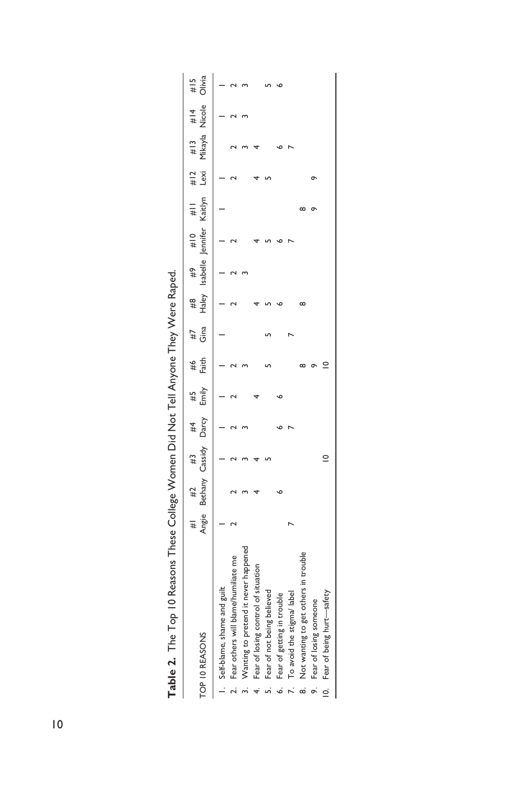| TOP 10 REASONS                       | #1 #2 #3 #4 #5<br>Angie Bethany Cassidy Darcy Emily |             |  | #6<br>Faith | $\frac{47}{14}$ |  | #8 #9 #10 #11 #12 #13 #14<br>Haley Isabelle Jennifer Kaitlyn Lexi Mikayla Nicole |  | Olivia<br>$\frac{4}{14}$ |
|--------------------------------------|-----------------------------------------------------|-------------|--|-------------|-----------------|--|----------------------------------------------------------------------------------|--|--------------------------|
| Self-blame, shame and guilt          |                                                     |             |  |             |                 |  |                                                                                  |  |                          |
| Fear others will blame/humiliate me  |                                                     |             |  |             |                 |  |                                                                                  |  |                          |
| Wanting to pretend it never happened |                                                     |             |  |             |                 |  |                                                                                  |  |                          |
| Fear of losing control of situation  |                                                     |             |  |             |                 |  |                                                                                  |  |                          |
| Fear of not being believed           |                                                     |             |  |             |                 |  |                                                                                  |  |                          |
| Fear of getting in trouble           |                                                     |             |  |             |                 |  |                                                                                  |  |                          |
| To avoid the stigma/ label           |                                                     |             |  |             |                 |  |                                                                                  |  |                          |
| Not wanting to get others in trouble |                                                     |             |  |             |                 |  |                                                                                  |  |                          |
| Fear of losing someone               |                                                     |             |  |             |                 |  |                                                                                  |  |                          |
| 10. Fear of being hurt-safety        |                                                     | $\subseteq$ |  |             |                 |  |                                                                                  |  |                          |

| $\vdots$                            |
|-------------------------------------|
|                                     |
| i                                   |
|                                     |
| $\vdots$<br>!<br>۱                  |
|                                     |
|                                     |
| )<br>$\ddot{\phantom{0}}$<br>١<br>ĺ |
|                                     |
|                                     |
| l                                   |
|                                     |
|                                     |
| )<br>)<br>)<br>)<br>)               |
|                                     |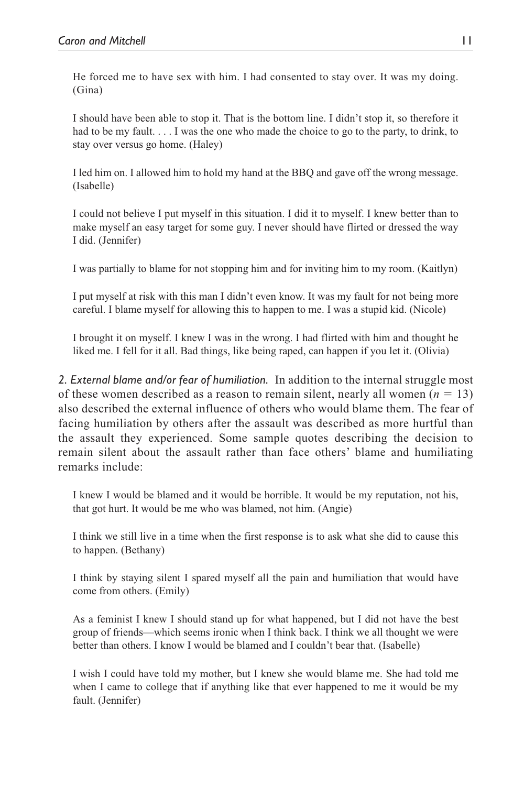He forced me to have sex with him. I had consented to stay over. It was my doing. (Gina)

I should have been able to stop it. That is the bottom line. I didn't stop it, so therefore it had to be my fault.  $\dots$  I was the one who made the choice to go to the party, to drink, to stay over versus go home. (Haley)

I led him on. I allowed him to hold my hand at the BBQ and gave off the wrong message. (Isabelle)

I could not believe I put myself in this situation. I did it to myself. I knew better than to make myself an easy target for some guy. I never should have flirted or dressed the way I did. (Jennifer)

I was partially to blame for not stopping him and for inviting him to my room. (Kaitlyn)

I put myself at risk with this man I didn't even know. It was my fault for not being more careful. I blame myself for allowing this to happen to me. I was a stupid kid. (Nicole)

I brought it on myself. I knew I was in the wrong. I had flirted with him and thought he liked me. I fell for it all. Bad things, like being raped, can happen if you let it. (Olivia)

*2. External blame and/or fear of humiliation.* In addition to the internal struggle most of these women described as a reason to remain silent, nearly all women  $(n = 13)$ also described the external influence of others who would blame them. The fear of facing humiliation by others after the assault was described as more hurtful than the assault they experienced. Some sample quotes describing the decision to remain silent about the assault rather than face others' blame and humiliating remarks include:

I knew I would be blamed and it would be horrible. It would be my reputation, not his, that got hurt. It would be me who was blamed, not him. (Angie)

I think we still live in a time when the first response is to ask what she did to cause this to happen. (Bethany)

I think by staying silent I spared myself all the pain and humiliation that would have come from others. (Emily)

As a feminist I knew I should stand up for what happened, but I did not have the best group of friends—which seems ironic when I think back. I think we all thought we were better than others. I know I would be blamed and I couldn't bear that. (Isabelle)

I wish I could have told my mother, but I knew she would blame me. She had told me when I came to college that if anything like that ever happened to me it would be my fault. (Jennifer)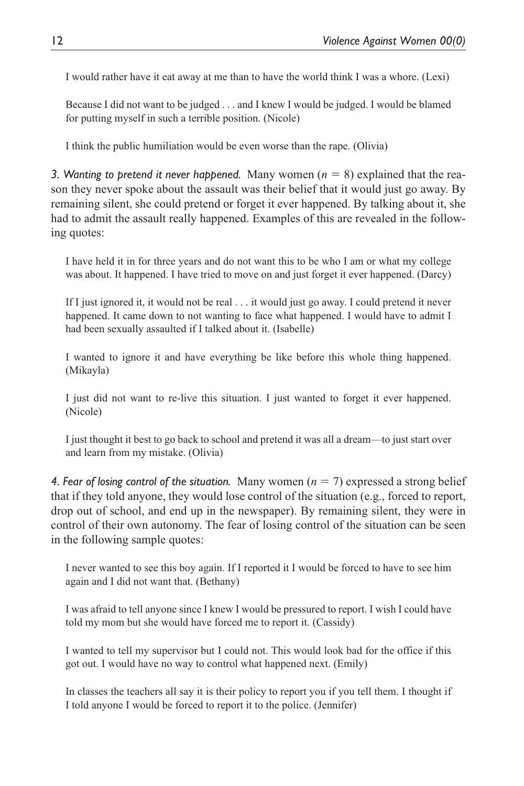I would rather have it eat away at me than to have the world think I was a whore. (Lexi)

Because I did not want to be judged . . . and I knew I would be judged. I would be blamed for putting myself in such a terrible position. (Nicole)

I think the public humiliation would be even worse than the rape. (Olivia)

*3. Wanting to pretend it never happened.* Many women (*n* = 8) explained that the reason they never spoke about the assault was their belief that it would just go away. By remaining silent, she could pretend or forget it ever happened. By talking about it, she had to admit the assault really happened. Examples of this are revealed in the following quotes:

I have held it in for three years and do not want this to be who I am or what my college was about. It happened. I have tried to move on and just forget it ever happened. (Darcy)

If I just ignored it, it would not be real . . . it would just go away. I could pretend it never happened. It came down to not wanting to face what happened. I would have to admit I had been sexually assaulted if I talked about it. (Isabelle)

I wanted to ignore it and have everything be like before this whole thing happened. (Mikayla)

I just did not want to re-live this situation. I just wanted to forget it ever happened. (Nicole)

I just thought it best to go back to school and pretend it was all a dream—to just start over and learn from my mistake. (Olivia)

*4. Fear of losing control of the situation.* Many women (*n* = 7) expressed a strong belief that if they told anyone, they would lose control of the situation (e.g., forced to report, drop out of school, and end up in the newspaper). By remaining silent, they were in control of their own autonomy. The fear of losing control of the situation can be seen in the following sample quotes:

I never wanted to see this boy again. If I reported it I would be forced to have to see him again and I did not want that. (Bethany)

I was afraid to tell anyone since I knew I would be pressured to report. I wish I could have told my mom but she would have forced me to report it. (Cassidy)

I wanted to tell my supervisor but I could not. This would look bad for the office if this got out. I would have no way to control what happened next. (Emily)

In classes the teachers all say it is their policy to report you if you tell them. I thought if I told anyone I would be forced to report it to the police. (Jennifer)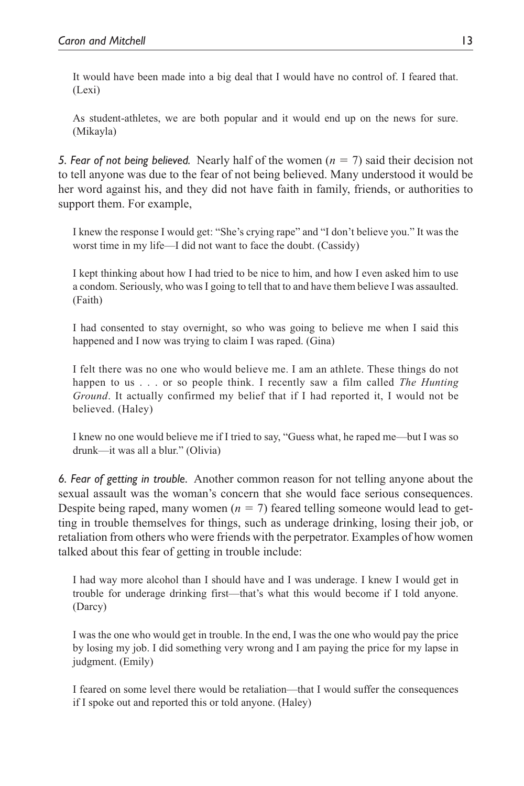It would have been made into a big deal that I would have no control of. I feared that. (Lexi)

As student-athletes, we are both popular and it would end up on the news for sure. (Mikayla)

*5. Fear of not being believed.* Nearly half of the women (*n* = 7) said their decision not to tell anyone was due to the fear of not being believed. Many understood it would be her word against his, and they did not have faith in family, friends, or authorities to support them. For example,

I knew the response I would get: "She's crying rape" and "I don't believe you." It was the worst time in my life—I did not want to face the doubt. (Cassidy)

I kept thinking about how I had tried to be nice to him, and how I even asked him to use a condom. Seriously, who was I going to tell that to and have them believe I was assaulted. (Faith)

I had consented to stay overnight, so who was going to believe me when I said this happened and I now was trying to claim I was raped. (Gina)

I felt there was no one who would believe me. I am an athlete. These things do not happen to us . . . or so people think. I recently saw a film called *The Hunting Ground*. It actually confirmed my belief that if I had reported it, I would not be believed. (Haley)

I knew no one would believe me if I tried to say, "Guess what, he raped me—but I was so drunk—it was all a blur." (Olivia)

*6. Fear of getting in trouble.* Another common reason for not telling anyone about the sexual assault was the woman's concern that she would face serious consequences. Despite being raped, many women  $(n = 7)$  feared telling someone would lead to getting in trouble themselves for things, such as underage drinking, losing their job, or retaliation from others who were friends with the perpetrator. Examples of how women talked about this fear of getting in trouble include:

I had way more alcohol than I should have and I was underage. I knew I would get in trouble for underage drinking first—that's what this would become if I told anyone. (Darcy)

I was the one who would get in trouble. In the end, I was the one who would pay the price by losing my job. I did something very wrong and I am paying the price for my lapse in judgment. (Emily)

I feared on some level there would be retaliation—that I would suffer the consequences if I spoke out and reported this or told anyone. (Haley)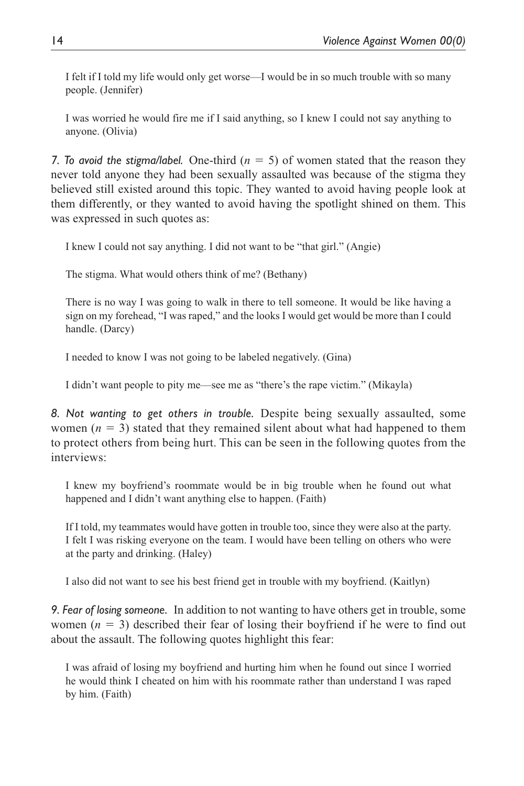I felt if I told my life would only get worse—I would be in so much trouble with so many people. (Jennifer)

I was worried he would fire me if I said anything, so I knew I could not say anything to anyone. (Olivia)

*7. To avoid the stigma/label.* One-third  $(n = 5)$  of women stated that the reason they never told anyone they had been sexually assaulted was because of the stigma they believed still existed around this topic. They wanted to avoid having people look at them differently, or they wanted to avoid having the spotlight shined on them. This was expressed in such quotes as:

I knew I could not say anything. I did not want to be "that girl." (Angie)

The stigma. What would others think of me? (Bethany)

There is no way I was going to walk in there to tell someone. It would be like having a sign on my forehead, "I was raped," and the looks I would get would be more than I could handle. (Darcy)

I needed to know I was not going to be labeled negatively. (Gina)

I didn't want people to pity me—see me as "there's the rape victim." (Mikayla)

*8. Not wanting to get others in trouble.* Despite being sexually assaulted, some women  $(n = 3)$  stated that they remained silent about what had happened to them to protect others from being hurt. This can be seen in the following quotes from the interviews:

I knew my boyfriend's roommate would be in big trouble when he found out what happened and I didn't want anything else to happen. (Faith)

If I told, my teammates would have gotten in trouble too, since they were also at the party. I felt I was risking everyone on the team. I would have been telling on others who were at the party and drinking. (Haley)

I also did not want to see his best friend get in trouble with my boyfriend. (Kaitlyn)

*9. Fear of losing someone.* In addition to not wanting to have others get in trouble, some women  $(n = 3)$  described their fear of losing their boyfriend if he were to find out about the assault. The following quotes highlight this fear:

I was afraid of losing my boyfriend and hurting him when he found out since I worried he would think I cheated on him with his roommate rather than understand I was raped by him. (Faith)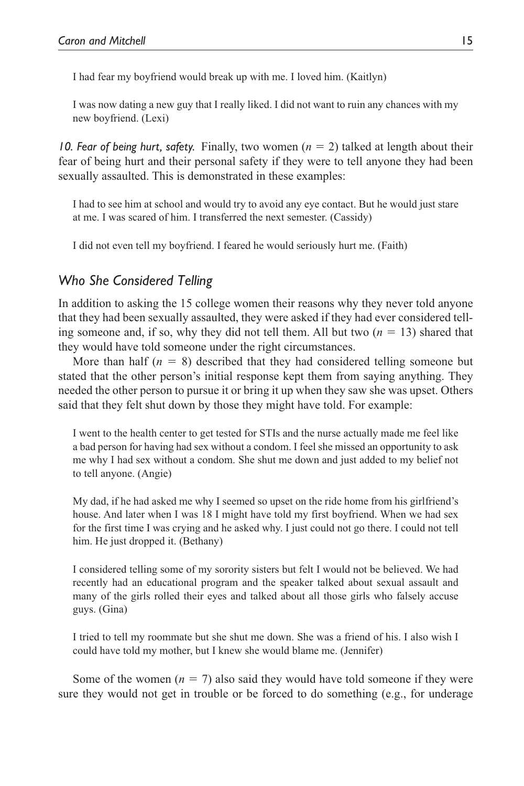I had fear my boyfriend would break up with me. I loved him. (Kaitlyn)

I was now dating a new guy that I really liked. I did not want to ruin any chances with my new boyfriend. (Lexi)

*10. Fear of being hurt, safety.* Finally, two women (*n* = 2) talked at length about their fear of being hurt and their personal safety if they were to tell anyone they had been sexually assaulted. This is demonstrated in these examples:

I had to see him at school and would try to avoid any eye contact. But he would just stare at me. I was scared of him. I transferred the next semester. (Cassidy)

I did not even tell my boyfriend. I feared he would seriously hurt me. (Faith)

## *Who She Considered Telling*

In addition to asking the 15 college women their reasons why they never told anyone that they had been sexually assaulted, they were asked if they had ever considered telling someone and, if so, why they did not tell them. All but two  $(n = 13)$  shared that they would have told someone under the right circumstances.

More than half  $(n = 8)$  described that they had considered telling someone but stated that the other person's initial response kept them from saying anything. They needed the other person to pursue it or bring it up when they saw she was upset. Others said that they felt shut down by those they might have told. For example:

I went to the health center to get tested for STIs and the nurse actually made me feel like a bad person for having had sex without a condom. I feel she missed an opportunity to ask me why I had sex without a condom. She shut me down and just added to my belief not to tell anyone. (Angie)

My dad, if he had asked me why I seemed so upset on the ride home from his girlfriend's house. And later when I was 18 I might have told my first boyfriend. When we had sex for the first time I was crying and he asked why. I just could not go there. I could not tell him. He just dropped it. (Bethany)

I considered telling some of my sorority sisters but felt I would not be believed. We had recently had an educational program and the speaker talked about sexual assault and many of the girls rolled their eyes and talked about all those girls who falsely accuse guys. (Gina)

I tried to tell my roommate but she shut me down. She was a friend of his. I also wish I could have told my mother, but I knew she would blame me. (Jennifer)

Some of the women  $(n = 7)$  also said they would have told someone if they were sure they would not get in trouble or be forced to do something (e.g., for underage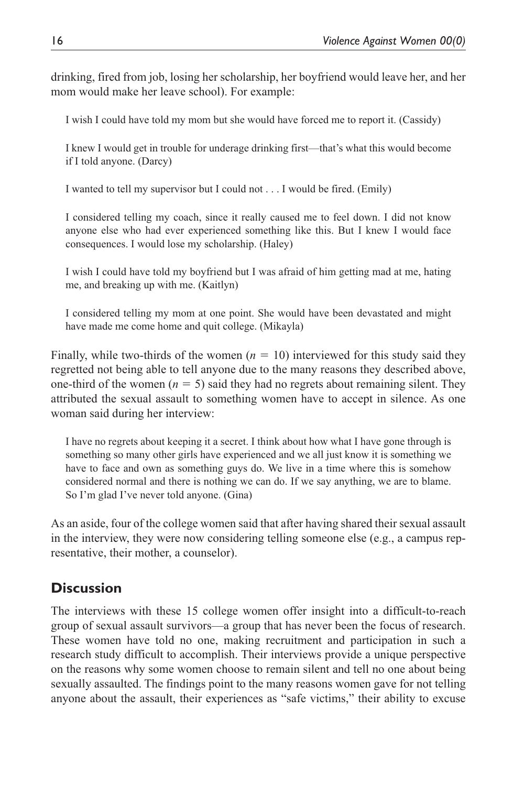drinking, fired from job, losing her scholarship, her boyfriend would leave her, and her mom would make her leave school). For example:

I wish I could have told my mom but she would have forced me to report it. (Cassidy)

I knew I would get in trouble for underage drinking first—that's what this would become if I told anyone. (Darcy)

I wanted to tell my supervisor but I could not . . . I would be fired. (Emily)

I considered telling my coach, since it really caused me to feel down. I did not know anyone else who had ever experienced something like this. But I knew I would face consequences. I would lose my scholarship. (Haley)

I wish I could have told my boyfriend but I was afraid of him getting mad at me, hating me, and breaking up with me. (Kaitlyn)

I considered telling my mom at one point. She would have been devastated and might have made me come home and quit college. (Mikayla)

Finally, while two-thirds of the women  $(n = 10)$  interviewed for this study said they regretted not being able to tell anyone due to the many reasons they described above, one-third of the women ( $n = 5$ ) said they had no regrets about remaining silent. They attributed the sexual assault to something women have to accept in silence. As one woman said during her interview:

I have no regrets about keeping it a secret. I think about how what I have gone through is something so many other girls have experienced and we all just know it is something we have to face and own as something guys do. We live in a time where this is somehow considered normal and there is nothing we can do. If we say anything, we are to blame. So I'm glad I've never told anyone. (Gina)

As an aside, four of the college women said that after having shared their sexual assault in the interview, they were now considering telling someone else (e.g., a campus representative, their mother, a counselor).

# **Discussion**

The interviews with these 15 college women offer insight into a difficult-to-reach group of sexual assault survivors—a group that has never been the focus of research. These women have told no one, making recruitment and participation in such a research study difficult to accomplish. Their interviews provide a unique perspective on the reasons why some women choose to remain silent and tell no one about being sexually assaulted. The findings point to the many reasons women gave for not telling anyone about the assault, their experiences as "safe victims," their ability to excuse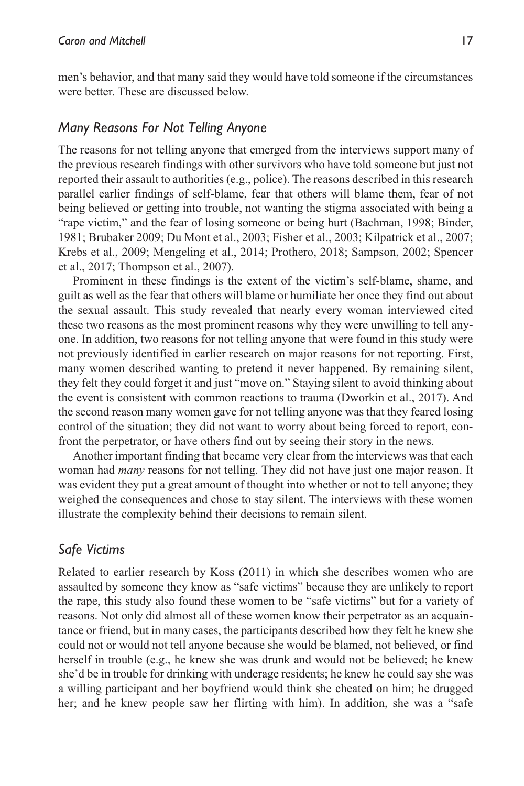men's behavior, and that many said they would have told someone if the circumstances were better. These are discussed below.

#### *Many Reasons For Not Telling Anyone*

The reasons for not telling anyone that emerged from the interviews support many of the previous research findings with other survivors who have told someone but just not reported their assault to authorities (e.g., police). The reasons described in this research parallel earlier findings of self-blame, fear that others will blame them, fear of not being believed or getting into trouble, not wanting the stigma associated with being a "rape victim," and the fear of losing someone or being hurt (Bachman, 1998; Binder, 1981; Brubaker 2009; Du Mont et al., 2003; Fisher et al., 2003; Kilpatrick et al., 2007; Krebs et al., 2009; Mengeling et al., 2014; Prothero, 2018; Sampson, 2002; Spencer et al., 2017; Thompson et al., 2007).

Prominent in these findings is the extent of the victim's self-blame, shame, and guilt as well as the fear that others will blame or humiliate her once they find out about the sexual assault. This study revealed that nearly every woman interviewed cited these two reasons as the most prominent reasons why they were unwilling to tell anyone. In addition, two reasons for not telling anyone that were found in this study were not previously identified in earlier research on major reasons for not reporting. First, many women described wanting to pretend it never happened. By remaining silent, they felt they could forget it and just "move on." Staying silent to avoid thinking about the event is consistent with common reactions to trauma (Dworkin et al., 2017). And the second reason many women gave for not telling anyone was that they feared losing control of the situation; they did not want to worry about being forced to report, confront the perpetrator, or have others find out by seeing their story in the news.

Another important finding that became very clear from the interviews was that each woman had *many* reasons for not telling. They did not have just one major reason. It was evident they put a great amount of thought into whether or not to tell anyone; they weighed the consequences and chose to stay silent. The interviews with these women illustrate the complexity behind their decisions to remain silent.

#### *Safe Victims*

Related to earlier research by Koss (2011) in which she describes women who are assaulted by someone they know as "safe victims" because they are unlikely to report the rape, this study also found these women to be "safe victims" but for a variety of reasons. Not only did almost all of these women know their perpetrator as an acquaintance or friend, but in many cases, the participants described how they felt he knew she could not or would not tell anyone because she would be blamed, not believed, or find herself in trouble (e.g., he knew she was drunk and would not be believed; he knew she'd be in trouble for drinking with underage residents; he knew he could say she was a willing participant and her boyfriend would think she cheated on him; he drugged her; and he knew people saw her flirting with him). In addition, she was a "safe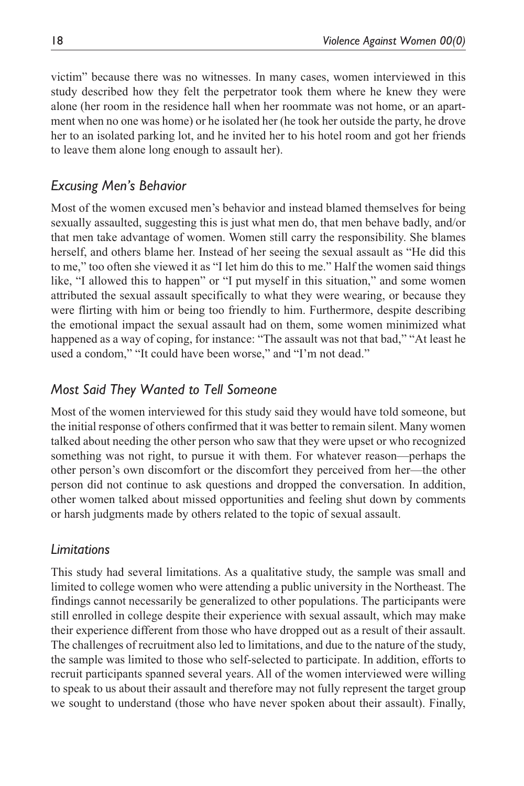victim" because there was no witnesses. In many cases, women interviewed in this study described how they felt the perpetrator took them where he knew they were alone (her room in the residence hall when her roommate was not home, or an apartment when no one was home) or he isolated her (he took her outside the party, he drove her to an isolated parking lot, and he invited her to his hotel room and got her friends to leave them alone long enough to assault her).

# *Excusing Men's Behavior*

Most of the women excused men's behavior and instead blamed themselves for being sexually assaulted, suggesting this is just what men do, that men behave badly, and/or that men take advantage of women. Women still carry the responsibility. She blames herself, and others blame her. Instead of her seeing the sexual assault as "He did this to me," too often she viewed it as "I let him do this to me." Half the women said things like, "I allowed this to happen" or "I put myself in this situation," and some women attributed the sexual assault specifically to what they were wearing, or because they were flirting with him or being too friendly to him. Furthermore, despite describing the emotional impact the sexual assault had on them, some women minimized what happened as a way of coping, for instance: "The assault was not that bad," "At least he used a condom," "It could have been worse," and "I'm not dead."

# *Most Said They Wanted to Tell Someone*

Most of the women interviewed for this study said they would have told someone, but the initial response of others confirmed that it was better to remain silent. Many women talked about needing the other person who saw that they were upset or who recognized something was not right, to pursue it with them. For whatever reason—perhaps the other person's own discomfort or the discomfort they perceived from her—the other person did not continue to ask questions and dropped the conversation. In addition, other women talked about missed opportunities and feeling shut down by comments or harsh judgments made by others related to the topic of sexual assault.

# *Limitations*

This study had several limitations. As a qualitative study, the sample was small and limited to college women who were attending a public university in the Northeast. The findings cannot necessarily be generalized to other populations. The participants were still enrolled in college despite their experience with sexual assault, which may make their experience different from those who have dropped out as a result of their assault. The challenges of recruitment also led to limitations, and due to the nature of the study, the sample was limited to those who self-selected to participate. In addition, efforts to recruit participants spanned several years. All of the women interviewed were willing to speak to us about their assault and therefore may not fully represent the target group we sought to understand (those who have never spoken about their assault). Finally,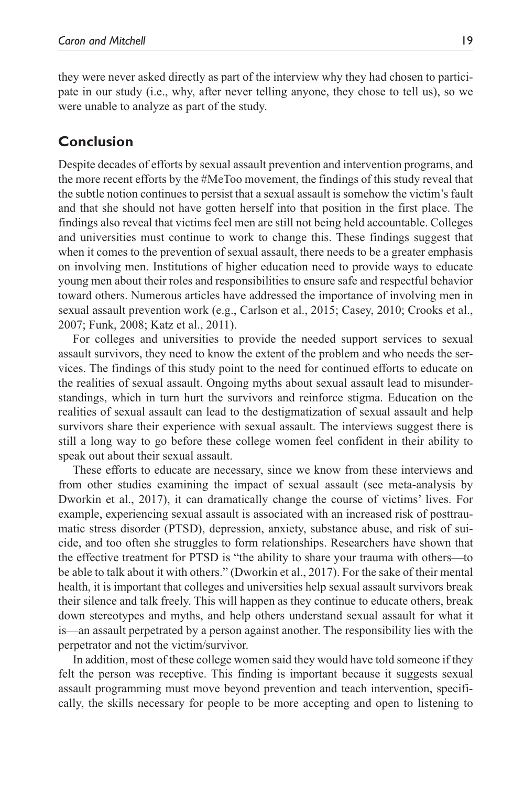they were never asked directly as part of the interview why they had chosen to participate in our study (i.e., why, after never telling anyone, they chose to tell us), so we were unable to analyze as part of the study.

# **Conclusion**

Despite decades of efforts by sexual assault prevention and intervention programs, and the more recent efforts by the #MeToo movement, the findings of this study reveal that the subtle notion continues to persist that a sexual assault is somehow the victim's fault and that she should not have gotten herself into that position in the first place. The findings also reveal that victims feel men are still not being held accountable. Colleges and universities must continue to work to change this. These findings suggest that when it comes to the prevention of sexual assault, there needs to be a greater emphasis on involving men. Institutions of higher education need to provide ways to educate young men about their roles and responsibilities to ensure safe and respectful behavior toward others. Numerous articles have addressed the importance of involving men in sexual assault prevention work (e.g., Carlson et al., 2015; Casey, 2010; Crooks et al., 2007; Funk, 2008; Katz et al., 2011).

For colleges and universities to provide the needed support services to sexual assault survivors, they need to know the extent of the problem and who needs the services. The findings of this study point to the need for continued efforts to educate on the realities of sexual assault. Ongoing myths about sexual assault lead to misunderstandings, which in turn hurt the survivors and reinforce stigma. Education on the realities of sexual assault can lead to the destigmatization of sexual assault and help survivors share their experience with sexual assault. The interviews suggest there is still a long way to go before these college women feel confident in their ability to speak out about their sexual assault.

These efforts to educate are necessary, since we know from these interviews and from other studies examining the impact of sexual assault (see meta-analysis by Dworkin et al., 2017), it can dramatically change the course of victims' lives. For example, experiencing sexual assault is associated with an increased risk of posttraumatic stress disorder (PTSD), depression, anxiety, substance abuse, and risk of suicide, and too often she struggles to form relationships. Researchers have shown that the effective treatment for PTSD is "the ability to share your trauma with others—to be able to talk about it with others." (Dworkin et al., 2017). For the sake of their mental health, it is important that colleges and universities help sexual assault survivors break their silence and talk freely. This will happen as they continue to educate others, break down stereotypes and myths, and help others understand sexual assault for what it is—an assault perpetrated by a person against another. The responsibility lies with the perpetrator and not the victim/survivor.

In addition, most of these college women said they would have told someone if they felt the person was receptive. This finding is important because it suggests sexual assault programming must move beyond prevention and teach intervention, specifically, the skills necessary for people to be more accepting and open to listening to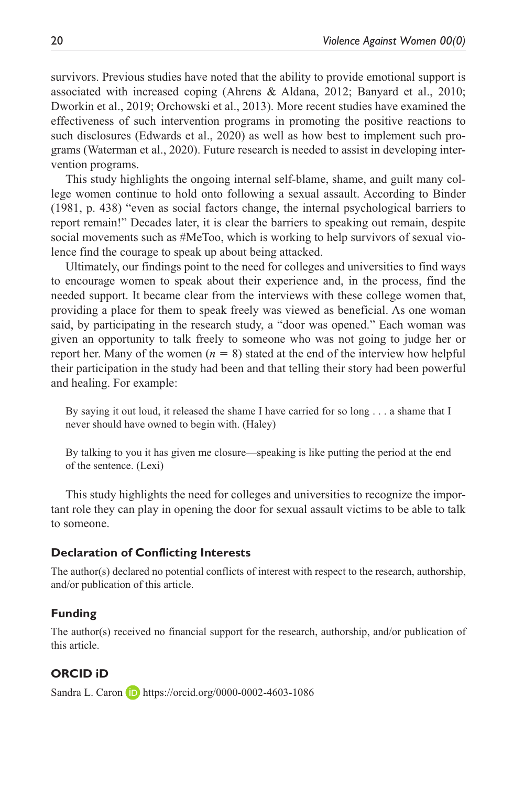survivors. Previous studies have noted that the ability to provide emotional support is associated with increased coping (Ahrens & Aldana, 2012; Banyard et al., 2010; Dworkin et al., 2019; Orchowski et al., 2013). More recent studies have examined the effectiveness of such intervention programs in promoting the positive reactions to such disclosures (Edwards et al., 2020) as well as how best to implement such programs (Waterman et al., 2020). Future research is needed to assist in developing intervention programs.

This study highlights the ongoing internal self-blame, shame, and guilt many college women continue to hold onto following a sexual assault. According to Binder (1981, p. 438) "even as social factors change, the internal psychological barriers to report remain!" Decades later, it is clear the barriers to speaking out remain, despite social movements such as #MeToo, which is working to help survivors of sexual violence find the courage to speak up about being attacked.

Ultimately, our findings point to the need for colleges and universities to find ways to encourage women to speak about their experience and, in the process, find the needed support. It became clear from the interviews with these college women that, providing a place for them to speak freely was viewed as beneficial. As one woman said, by participating in the research study, a "door was opened." Each woman was given an opportunity to talk freely to someone who was not going to judge her or report her. Many of the women  $(n = 8)$  stated at the end of the interview how helpful their participation in the study had been and that telling their story had been powerful and healing. For example:

By saying it out loud, it released the shame I have carried for so long . . . a shame that I never should have owned to begin with. (Haley)

By talking to you it has given me closure—speaking is like putting the period at the end of the sentence. (Lexi)

This study highlights the need for colleges and universities to recognize the important role they can play in opening the door for sexual assault victims to be able to talk to someone.

#### **Declaration of Conflicting Interests**

The author(s) declared no potential conflicts of interest with respect to the research, authorship, and/or publication of this article.

#### **Funding**

The author(s) received no financial support for the research, authorship, and/or publication of this article.

#### **ORCID iD**

Sandra L. Caron **D** <https://orcid.org/0000-0002-4603-1086>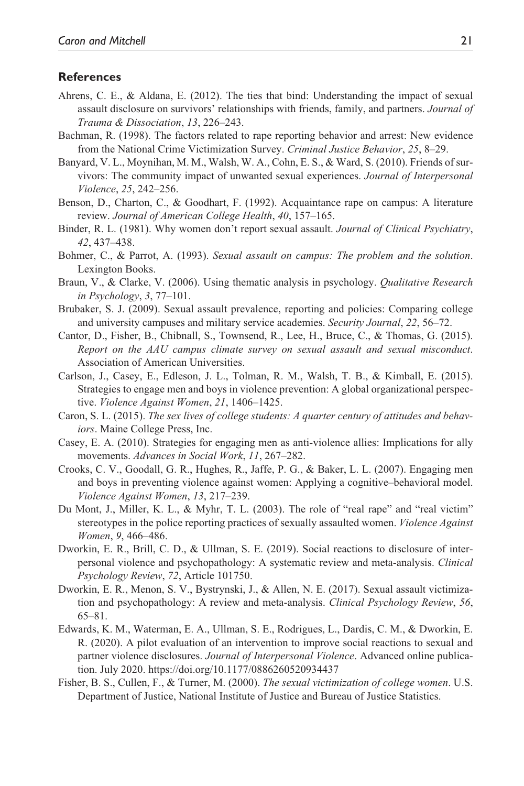#### **References**

- Ahrens, C. E., & Aldana, E. (2012). The ties that bind: Understanding the impact of sexual assault disclosure on survivors' relationships with friends, family, and partners. *Journal of Trauma & Dissociation*, *13*, 226–243.
- Bachman, R. (1998). The factors related to rape reporting behavior and arrest: New evidence from the National Crime Victimization Survey. *Criminal Justice Behavior*, *25*, 8–29.
- Banyard, V. L., Moynihan, M. M., Walsh, W. A., Cohn, E. S., & Ward, S. (2010). Friends of survivors: The community impact of unwanted sexual experiences. *Journal of Interpersonal Violence*, *25*, 242–256.
- Benson, D., Charton, C., & Goodhart, F. (1992). Acquaintance rape on campus: A literature review. *Journal of American College Health*, *40*, 157–165.
- Binder, R. L. (1981). Why women don't report sexual assault. *Journal of Clinical Psychiatry*, *42*, 437–438.
- Bohmer, C., & Parrot, A. (1993). *Sexual assault on campus: The problem and the solution*. Lexington Books.
- Braun, V., & Clarke, V. (2006). Using thematic analysis in psychology. *Qualitative Research in Psychology*, *3*, 77–101.
- Brubaker, S. J. (2009). Sexual assault prevalence, reporting and policies: Comparing college and university campuses and military service academies. *Security Journal*, *22*, 56–72.
- Cantor, D., Fisher, B., Chibnall, S., Townsend, R., Lee, H., Bruce, C., & Thomas, G. (2015). *Report on the AAU campus climate survey on sexual assault and sexual misconduct*. Association of American Universities.
- Carlson, J., Casey, E., Edleson, J. L., Tolman, R. M., Walsh, T. B., & Kimball, E. (2015). Strategies to engage men and boys in violence prevention: A global organizational perspective. *Violence Against Women*, *21*, 1406–1425.
- Caron, S. L. (2015). *The sex lives of college students: A quarter century of attitudes and behaviors*. Maine College Press, Inc.
- Casey, E. A. (2010). Strategies for engaging men as anti-violence allies: Implications for ally movements. *Advances in Social Work*, *11*, 267–282.
- Crooks, C. V., Goodall, G. R., Hughes, R., Jaffe, P. G., & Baker, L. L. (2007). Engaging men and boys in preventing violence against women: Applying a cognitive–behavioral model. *Violence Against Women*, *13*, 217–239.
- Du Mont, J., Miller, K. L., & Myhr, T. L. (2003). The role of "real rape" and "real victim" stereotypes in the police reporting practices of sexually assaulted women. *Violence Against Women*, *9*, 466–486.
- Dworkin, E. R., Brill, C. D., & Ullman, S. E. (2019). Social reactions to disclosure of interpersonal violence and psychopathology: A systematic review and meta-analysis. *Clinical Psychology Review*, *72*, Article 101750.
- Dworkin, E. R., Menon, S. V., Bystrynski, J., & Allen, N. E. (2017). Sexual assault victimization and psychopathology: A review and meta-analysis. *Clinical Psychology Review*, *56*, 65–81.
- Edwards, K. M., Waterman, E. A., Ullman, S. E., Rodrigues, L., Dardis, C. M., & Dworkin, E. R. (2020). A pilot evaluation of an intervention to improve social reactions to sexual and partner violence disclosures. *Journal of Interpersonal Violence*. Advanced online publication. July 2020. [https://doi.org/1](https://doi.org/10.1177/0886260520934437)0.1177/0886260520934437
- Fisher, B. S., Cullen, F., & Turner, M. (2000). *The sexual victimization of college women*. U.S. Department of Justice, National Institute of Justice and Bureau of Justice Statistics.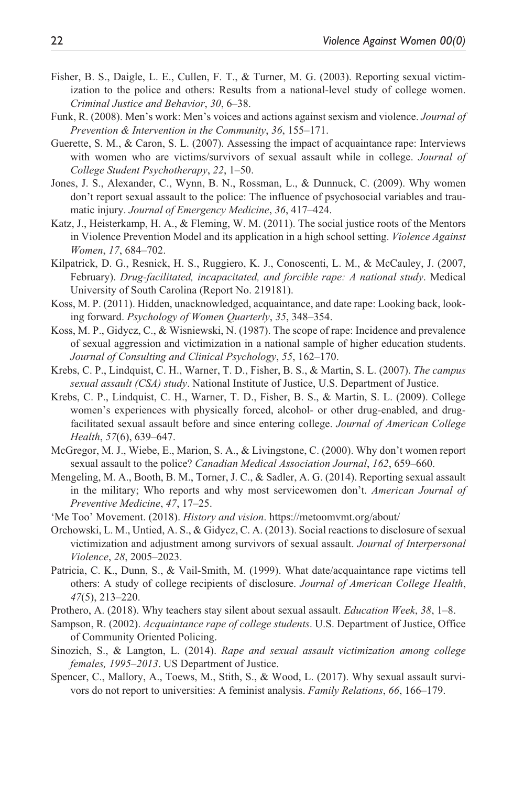- Fisher, B. S., Daigle, L. E., Cullen, F. T., & Turner, M. G. (2003). Reporting sexual victimization to the police and others: Results from a national-level study of college women. *Criminal Justice and Behavior*, *30*, 6–38.
- Funk, R. (2008). Men's work: Men's voices and actions against sexism and violence. *Journal of Prevention & Intervention in the Community*, *36*, 155–171.
- Guerette, S. M., & Caron, S. L. (2007). Assessing the impact of acquaintance rape: Interviews with women who are victims/survivors of sexual assault while in college. *Journal of College Student Psychotherapy*, *22*, 1–50.
- Jones, J. S., Alexander, C., Wynn, B. N., Rossman, L., & Dunnuck, C. (2009). Why women don't report sexual assault to the police: The influence of psychosocial variables and traumatic injury. *Journal of Emergency Medicine*, *36*, 417–424.
- Katz, J., Heisterkamp, H. A., & Fleming, W. M. (2011). The social justice roots of the Mentors in Violence Prevention Model and its application in a high school setting. *Violence Against Women*, *17*, 684–702.
- Kilpatrick, D. G., Resnick, H. S., Ruggiero, K. J., Conoscenti, L. M., & McCauley, J. (2007, February). *Drug-facilitated, incapacitated, and forcible rape: A national study*. Medical University of South Carolina (Report No. 219181).
- Koss, M. P. (2011). Hidden, unacknowledged, acquaintance, and date rape: Looking back, looking forward. *Psychology of Women Quarterly*, *35*, 348–354.
- Koss, M. P., Gidycz, C., & Wisniewski, N. (1987). The scope of rape: Incidence and prevalence of sexual aggression and victimization in a national sample of higher education students. *Journal of Consulting and Clinical Psychology*, *55*, 162–170.
- Krebs, C. P., Lindquist, C. H., Warner, T. D., Fisher, B. S., & Martin, S. L. (2007). *The campus sexual assault (CSA) study*. National Institute of Justice, U.S. Department of Justice.
- Krebs, C. P., Lindquist, C. H., Warner, T. D., Fisher, B. S., & Martin, S. L. (2009). College women's experiences with physically forced, alcohol- or other drug-enabled, and drugfacilitated sexual assault before and since entering college. *Journal of American College Health*, *57*(6), 639–647.
- McGregor, M. J., Wiebe, E., Marion, S. A., & Livingstone, C. (2000). Why don't women report sexual assault to the police? *Canadian Medical Association Journal*, *162*, 659–660.
- Mengeling, M. A., Booth, B. M., Torner, J. C., & Sadler, A. G. (2014). Reporting sexual assault in the military; Who reports and why most servicewomen don't. *American Journal of Preventive Medicine*, *47*, 17–25.
- 'Me Too' Movement. (2018). *History and vision*. <https://metoomvmt.org/about/>
- Orchowski, L. M., Untied, A. S., & Gidycz, C. A. (2013). Social reactions to disclosure of sexual victimization and adjustment among survivors of sexual assault. *Journal of Interpersonal Violence*, *28*, 2005–2023.
- Patricia, C. K., Dunn, S., & Vail-Smith, M. (1999). What date/acquaintance rape victims tell others: A study of college recipients of disclosure. *Journal of American College Health*, *47*(5), 213–220.
- Prothero, A. (2018). Why teachers stay silent about sexual assault. *Education Week*, *38*, 1–8.
- Sampson, R. (2002). *Acquaintance rape of college students*. U.S. Department of Justice, Office of Community Oriented Policing.
- Sinozich, S., & Langton, L. (2014). *Rape and sexual assault victimization among college females, 1995–2013*. US Department of Justice.
- Spencer, C., Mallory, A., Toews, M., Stith, S., & Wood, L. (2017). Why sexual assault survivors do not report to universities: A feminist analysis. *Family Relations*, *66*, 166–179.